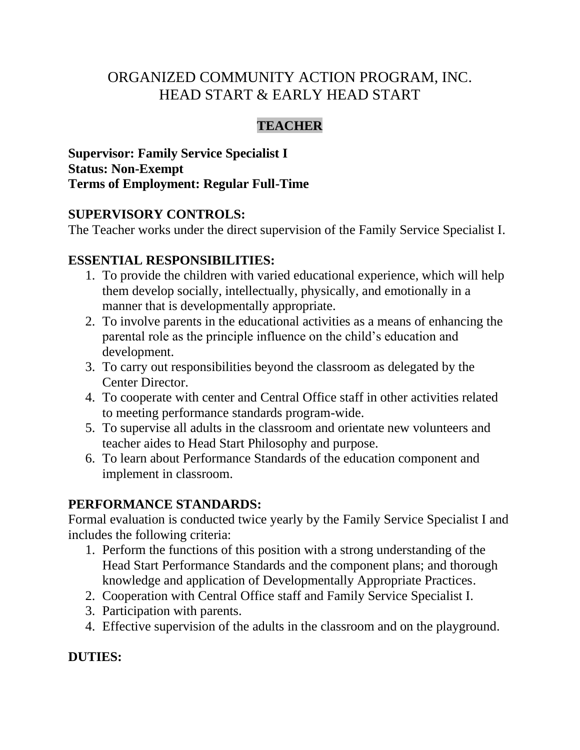# ORGANIZED COMMUNITY ACTION PROGRAM, INC. HEAD START & EARLY HEAD START

## **TEACHER**

**Supervisor: Family Service Specialist I Status: Non-Exempt Terms of Employment: Regular Full-Time**

### **SUPERVISORY CONTROLS:**

The Teacher works under the direct supervision of the Family Service Specialist I.

### **ESSENTIAL RESPONSIBILITIES:**

- 1. To provide the children with varied educational experience, which will help them develop socially, intellectually, physically, and emotionally in a manner that is developmentally appropriate.
- 2. To involve parents in the educational activities as a means of enhancing the parental role as the principle influence on the child's education and development.
- 3. To carry out responsibilities beyond the classroom as delegated by the Center Director.
- 4. To cooperate with center and Central Office staff in other activities related to meeting performance standards program-wide.
- 5. To supervise all adults in the classroom and orientate new volunteers and teacher aides to Head Start Philosophy and purpose.
- 6. To learn about Performance Standards of the education component and implement in classroom.

### **PERFORMANCE STANDARDS:**

Formal evaluation is conducted twice yearly by the Family Service Specialist I and includes the following criteria:

- 1. Perform the functions of this position with a strong understanding of the Head Start Performance Standards and the component plans; and thorough knowledge and application of Developmentally Appropriate Practices.
- 2. Cooperation with Central Office staff and Family Service Specialist I.
- 3. Participation with parents.
- 4. Effective supervision of the adults in the classroom and on the playground.

### **DUTIES:**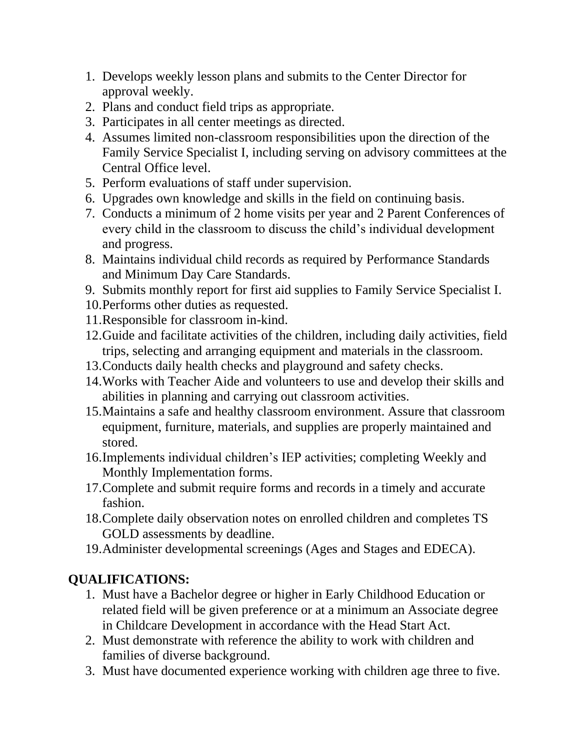- 1. Develops weekly lesson plans and submits to the Center Director for approval weekly.
- 2. Plans and conduct field trips as appropriate.
- 3. Participates in all center meetings as directed.
- 4. Assumes limited non-classroom responsibilities upon the direction of the Family Service Specialist I, including serving on advisory committees at the Central Office level.
- 5. Perform evaluations of staff under supervision.
- 6. Upgrades own knowledge and skills in the field on continuing basis.
- 7. Conducts a minimum of 2 home visits per year and 2 Parent Conferences of every child in the classroom to discuss the child's individual development and progress.
- 8. Maintains individual child records as required by Performance Standards and Minimum Day Care Standards.
- 9. Submits monthly report for first aid supplies to Family Service Specialist I.
- 10.Performs other duties as requested.
- 11.Responsible for classroom in-kind.
- 12.Guide and facilitate activities of the children, including daily activities, field trips, selecting and arranging equipment and materials in the classroom.
- 13.Conducts daily health checks and playground and safety checks.
- 14.Works with Teacher Aide and volunteers to use and develop their skills and abilities in planning and carrying out classroom activities.
- 15.Maintains a safe and healthy classroom environment. Assure that classroom equipment, furniture, materials, and supplies are properly maintained and stored.
- 16.Implements individual children's IEP activities; completing Weekly and Monthly Implementation forms.
- 17.Complete and submit require forms and records in a timely and accurate fashion.
- 18.Complete daily observation notes on enrolled children and completes TS GOLD assessments by deadline.
- 19.Administer developmental screenings (Ages and Stages and EDECA).

# **QUALIFICATIONS:**

- 1. Must have a Bachelor degree or higher in Early Childhood Education or related field will be given preference or at a minimum an Associate degree in Childcare Development in accordance with the Head Start Act.
- 2. Must demonstrate with reference the ability to work with children and families of diverse background.
- 3. Must have documented experience working with children age three to five.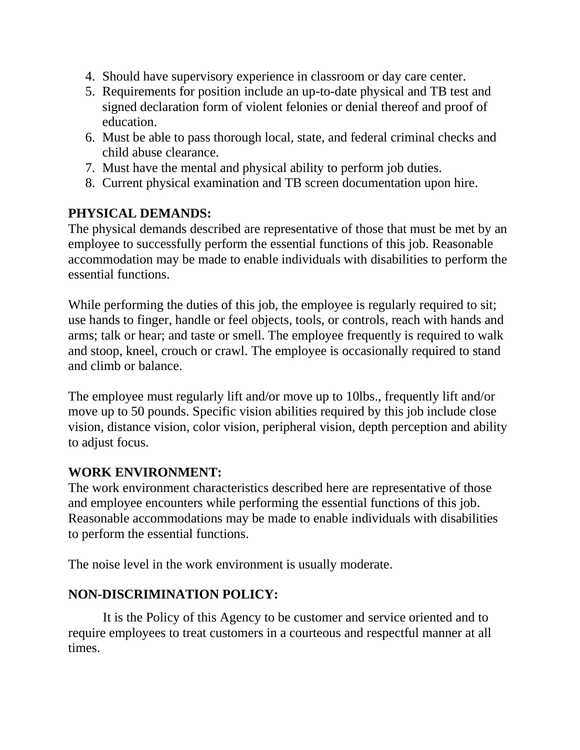- 4. Should have supervisory experience in classroom or day care center.
- 5. Requirements for position include an up-to-date physical and TB test and signed declaration form of violent felonies or denial thereof and proof of education.
- 6. Must be able to pass thorough local, state, and federal criminal checks and child abuse clearance.
- 7. Must have the mental and physical ability to perform job duties.
- 8. Current physical examination and TB screen documentation upon hire.

### **PHYSICAL DEMANDS:**

The physical demands described are representative of those that must be met by an employee to successfully perform the essential functions of this job. Reasonable accommodation may be made to enable individuals with disabilities to perform the essential functions.

While performing the duties of this job, the employee is regularly required to sit; use hands to finger, handle or feel objects, tools, or controls, reach with hands and arms; talk or hear; and taste or smell. The employee frequently is required to walk and stoop, kneel, crouch or crawl. The employee is occasionally required to stand and climb or balance.

The employee must regularly lift and/or move up to 10lbs., frequently lift and/or move up to 50 pounds. Specific vision abilities required by this job include close vision, distance vision, color vision, peripheral vision, depth perception and ability to adjust focus.

## **WORK ENVIRONMENT:**

The work environment characteristics described here are representative of those and employee encounters while performing the essential functions of this job. Reasonable accommodations may be made to enable individuals with disabilities to perform the essential functions.

The noise level in the work environment is usually moderate.

## **NON-DISCRIMINATION POLICY:**

It is the Policy of this Agency to be customer and service oriented and to require employees to treat customers in a courteous and respectful manner at all times.